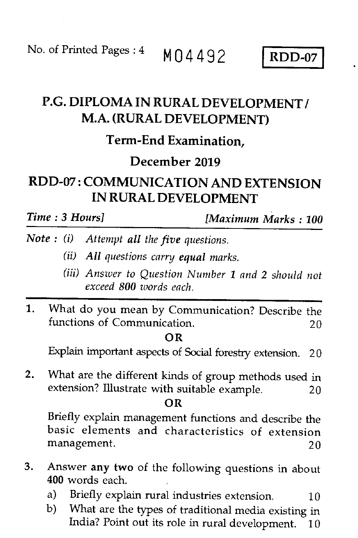No. of Printed Pages :  $4 \text{ M}04492$  RDD-07

# P.G. DIPLOMA IN RURAL DEVELOPMENT / M.A. (RURAL DEVELOPMENT)

## Term-End Examination,

# December 2019

# RDD-07 : COMMUNICATION AND EXTENSION IN RURAL DEVELOPMENT

*Time : 3 Hours] [Maximum Marks : 100* 

- *Note : (i) Attempt all the five questions.* 
	- *(ii) All questions carry equal marks.*
	- *(iii) Answer to Question Number 1 and 2 should not exceed 800 words each.*
- 1. What do you mean by Communication? Describe the functions of Communication. 20

### **OR**

Explain important aspects of Social forestry extension. 20

2. What are the different kinds of group methods used in extension? Illustrate with suitable example. 20

### **OR**

Briefly explain management functions and describe the basic elements and characteristics of extension management. 20

- 3. Answer *any two* of the following questions in about **400** words each.
	- a) Briefly explain rural industries extension.  $10$
	- b) What are the types of traditional media existing in India? Point out its role in rural development. 10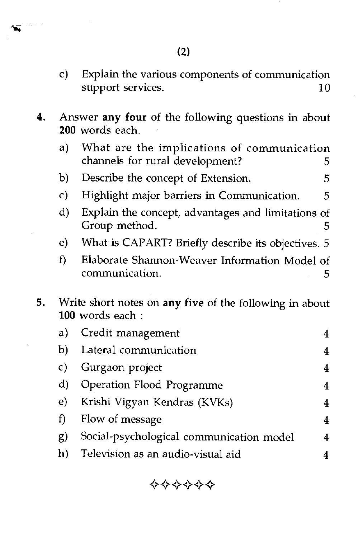$\sim$  , and  $\sim$ w.

- c) Explain the various components of communication support services. 10
- **4.** Answer **any four** of the following questions in about **200** words each.
	- a) What are the implications of communication channels for rural development? 5
	- b) Describe the concept of Extension. 5
	- c) Highlight major barriers in Communication. 5
	- d) Explain the concept, advantages and limitations of Group method. 5
	- e) What is CAPART? Briefly describe its objectives. 5
	- f) Elaborate Shannon-Weaver Information Model of communication. 5
- **5.** Write short notes on **any five** of the following in about **100** words each :

|    | a) Credit management                     |   |
|----|------------------------------------------|---|
| b) | Lateral communication                    | 4 |
| C) | Gurgaon project                          |   |
| d) | Operation Flood Programme                |   |
| e) | Krishi Vigyan Kendras (KVKs)             | 4 |
| f) | Flow of message                          | 4 |
| g) | Social-psychological communication model | 4 |
| h) | Television as an audio-visual aid        |   |

 $\diamond\diamond\diamond\diamond\diamond\diamond\diamond$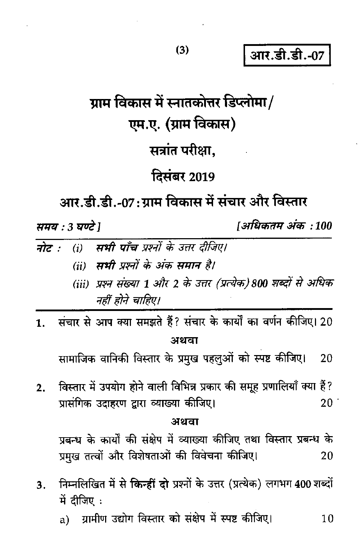आर.डी.डी.-07

# ग्राम विकास में स्नातकोत्तर डिप्लोमा/ एम.ए. (ग्राम विकास) सत्रांत परीक्षा.

# **दिसंबर 2019**

आर.डी.डी.-07:ग्राम विकास में संचार और विस्तार

समय : 3 घण्टे 1

।अधिकतम अंक :100

- सभी पाँच प्रश्नों के उत्तर दीजिए। नोट :- $(i)$ (ii) सभी प्रश्नों के अंक समान है।
	- (iii) प्रश्न संख्या 1 और 2 के उत्तर (प्रत्येक) 800 शब्दों से अधिक नहीं होने चाहिए।
- संचार से आप क्या समझते हैं? संचार के कार्यों का वर्णन कीजिए। 20  $\mathbf{1}$ . अथवा

सामाजिक वानिकी विस्तार के प्रमुख पहलुओं को स्पष्ट कीजिए। 20

विस्तार में उपयोग होने वाली विभिन्न प्रकार की समूह प्रणालियाँ क्या हैं?  $2.$ प्रासंगिक उदाहरण द्वारा व्याख्या कीजिए।  $20<sup>°</sup>$ 

#### अथवा

प्रबन्ध के कार्यों की संक्षेप में व्याख्या कीजिए तथा विस्तार प्रबन्ध के प्रमुख तत्वों और विशेषताओं की विवेचना कीजिए। 20

- निम्नलिखित में से किन्हीं दो प्रश्नों के उत्तर (प्रत्येक) लगभग 400 शब्दों  $3.$ में दीजिए:
	- ग्रामीण उद्योग विस्तार को संक्षेप में स्पष्ट कीजिए। a) 10